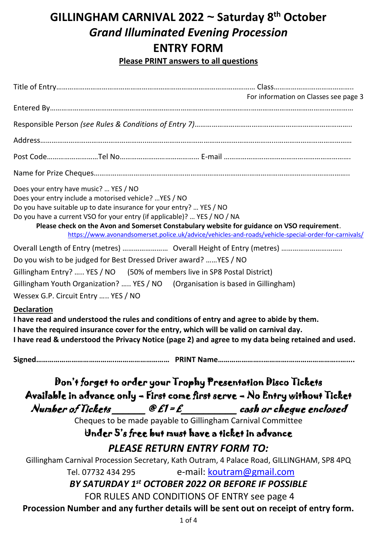# **GILLINGHAM CARNIVAL 2022 ~ Saturday 8 th October** *Grand Illuminated Evening Procession* **ENTRY FORM**

**Please PRINT answers to all questions**

|                                                                                                                                                                                                                                                    |                                     | For information on Classes see page 3                                                                                                                                                                                                                                                     |
|----------------------------------------------------------------------------------------------------------------------------------------------------------------------------------------------------------------------------------------------------|-------------------------------------|-------------------------------------------------------------------------------------------------------------------------------------------------------------------------------------------------------------------------------------------------------------------------------------------|
|                                                                                                                                                                                                                                                    |                                     |                                                                                                                                                                                                                                                                                           |
|                                                                                                                                                                                                                                                    |                                     |                                                                                                                                                                                                                                                                                           |
|                                                                                                                                                                                                                                                    |                                     |                                                                                                                                                                                                                                                                                           |
|                                                                                                                                                                                                                                                    |                                     |                                                                                                                                                                                                                                                                                           |
|                                                                                                                                                                                                                                                    |                                     |                                                                                                                                                                                                                                                                                           |
| Does your entry have music?  YES / NO<br>Does your entry include a motorised vehicle?  YES / NO<br>Do you have suitable up to date insurance for your entry?  YES / NO<br>Do you have a current VSO for your entry (if applicable)?  YES / NO / NA |                                     | Please check on the Avon and Somerset Constabulary website for guidance on VSO requirement.<br>https://www.avonandsomerset.police.uk/advice/vehicles-and-roads/vehicle-special-order-for-carnivals/                                                                                       |
|                                                                                                                                                                                                                                                    |                                     |                                                                                                                                                                                                                                                                                           |
| Do you wish to be judged for Best Dressed Driver award?  YES / NO                                                                                                                                                                                  |                                     |                                                                                                                                                                                                                                                                                           |
| Gillingham Entry?  YES / NO (50% of members live in SP8 Postal District)                                                                                                                                                                           |                                     |                                                                                                                                                                                                                                                                                           |
|                                                                                                                                                                                                                                                    |                                     | Gillingham Youth Organization?  YES / NO (Organisation is based in Gillingham)                                                                                                                                                                                                            |
| Wessex G.P. Circuit Entry  YES / NO                                                                                                                                                                                                                |                                     |                                                                                                                                                                                                                                                                                           |
| <b>Declaration</b>                                                                                                                                                                                                                                 |                                     | I have read and understood the rules and conditions of entry and agree to abide by them.<br>I have the required insurance cover for the entry, which will be valid on carnival day.<br>I have read & understood the Privacy Notice (page 2) and agree to my data being retained and used. |
|                                                                                                                                                                                                                                                    |                                     |                                                                                                                                                                                                                                                                                           |
|                                                                                                                                                                                                                                                    |                                     | Don't forget to order your Trophy Presentation Disco Tickets<br>Available in advance only - First come first serve - No Entry without Ticket                                                                                                                                              |
|                                                                                                                                                                                                                                                    |                                     | Number of Tickets $\begin{array}{ccc}\n\mathcal{C} & \mathcal{E} & -\n\end{array}$ cash or cheque enclosed                                                                                                                                                                                |
|                                                                                                                                                                                                                                                    |                                     | Cheques to be made payable to Gillingham Carnival Committee                                                                                                                                                                                                                               |
|                                                                                                                                                                                                                                                    |                                     | Under 5's free but must have a ticket in advance                                                                                                                                                                                                                                          |
|                                                                                                                                                                                                                                                    | <b>PLEASE RETURN ENTRY FORM TO:</b> |                                                                                                                                                                                                                                                                                           |
|                                                                                                                                                                                                                                                    |                                     | Gillingham Carnival Procession Secretary, Kath Outram, 4 Palace Road, GILLINGHAM, SP8 4PQ                                                                                                                                                                                                 |
| Tel. 07732 434 295                                                                                                                                                                                                                                 |                                     | e-mail: koutram@gmail.com                                                                                                                                                                                                                                                                 |
|                                                                                                                                                                                                                                                    |                                     | BY SATURDAY 1st OCTOBER 2022 OR BEFORE IF POSSIBLE                                                                                                                                                                                                                                        |
|                                                                                                                                                                                                                                                    |                                     | FOR RULES AND CONDITIONS OF ENTRY see page 4                                                                                                                                                                                                                                              |
|                                                                                                                                                                                                                                                    |                                     | Procession Number and any further details will be sent out on receipt of entry form.                                                                                                                                                                                                      |
|                                                                                                                                                                                                                                                    | $1$ of $4$                          |                                                                                                                                                                                                                                                                                           |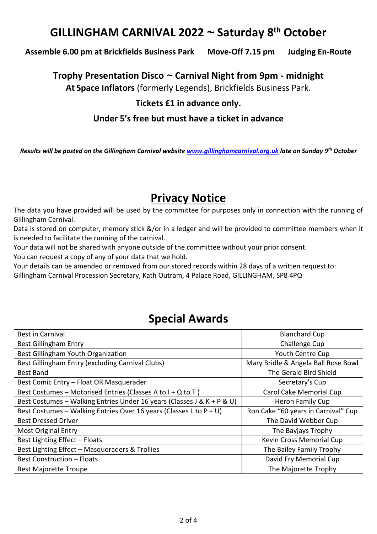# **GILLINGHAM CARNIVAL 2022 ~ Saturday 8 th October**

### **Assemble 6.00 pm at Brickfields Business Park Move-Off 7.15 pm Judging En-Route**

**Trophy Presentation Disco ~ Carnival Night from 9pm - midnight**

**At Space Inflators** (formerly Legends), Brickfields Business Park.

## **Tickets £1 in advance only.**

### **Under 5's free but must have a ticket in advance**

*Results will be posted on the Gillingham Carnival website [www.gillinghamcarnival.org.uk](http://www.gillinghamcarnival.org.uk/) late on Sunday 9 th October*

## **Privacy Notice**

The data you have provided will be used by the committee for purposes only in connection with the running of Gillingham Carnival.

Data is stored on computer, memory stick &/or in a ledger and will be provided to committee members when it is needed to facilitate the running of the carnival.

Your data will not be shared with anyone outside of the committee without your prior consent.

You can request a copy of any of your data that we hold.

Your details can be amended or removed from our stored records within 28 days of a written request to:

Gillingham Carnival Procession Secretary, Kath Outram, 4 Palace Road, GILLINGHAM, SP8 4PQ

## **Special Awards**

| <b>Best in Carnival</b>                                                | <b>Blanchard Cup</b>                |  |  |  |
|------------------------------------------------------------------------|-------------------------------------|--|--|--|
| <b>Best Gillingham Entry</b>                                           | Challenge Cup                       |  |  |  |
| Best Gillingham Youth Organization                                     | Youth Centre Cup                    |  |  |  |
| Best Gillingham Entry (excluding Carnival Clubs)                       | Mary Bridle & Angela Ball Rose Bowl |  |  |  |
| <b>Best Band</b>                                                       | The Gerald Bird Shield              |  |  |  |
| Best Comic Entry - Float OR Masquerader                                | Secretary's Cup                     |  |  |  |
| Best Costumes - Motorised Entries (Classes A to I + Q to T)            | Carol Cake Memorial Cup             |  |  |  |
| Best Costumes - Walking Entries Under 16 years (Classes J & K + P & U) | Heron Family Cup                    |  |  |  |
| Best Costumes – Walking Entries Over 16 years (Classes L to $P + U$ )  | Ron Cake "60 years in Carnival" Cup |  |  |  |
| <b>Best Dressed Driver</b>                                             | The David Webber Cup                |  |  |  |
| <b>Most Original Entry</b>                                             | The Bayjays Trophy                  |  |  |  |
| Best Lighting Effect - Floats                                          | Kevin Cross Memorial Cup            |  |  |  |
| Best Lighting Effect - Masqueraders & Trollies                         | The Bailey Family Trophy            |  |  |  |
| <b>Best Construction - Floats</b>                                      | David Fry Memorial Cup              |  |  |  |
| <b>Best Majorette Troupe</b>                                           | The Majorette Trophy                |  |  |  |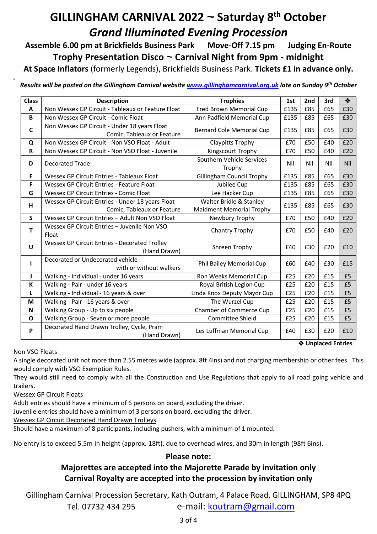# **GILLINGHAM CARNIVAL 2022 ~ Saturday 8 th October** *Grand Illuminated Evening Procession*

**Assemble 6.00 pm at Brickfields Business Park Move-Off 7.15 pm Judging En-Route Trophy Presentation Disco ~ Carnival Night from 9pm - midnight**

**At Space Inflators** (formerly Legends), Brickfields Business Park. **Tickets £1 in advance only.**

*Results will be posted on the Gillingham Carnival website [www.gillinghamcarnival.org.uk](http://www.gillinghamcarnival.org.uk/) late on Sunday 9 th October*

| <b>Class</b> | <b>Description</b>                                                             | <b>Trophies</b>                                            | 1st  | 2nd | 3rd | ❖          |
|--------------|--------------------------------------------------------------------------------|------------------------------------------------------------|------|-----|-----|------------|
| A            | Non Wessex GP Circuit - Tableaux or Feature Float                              | Fred Brown Memorial Cup                                    | £135 | £85 | £65 | £30        |
| B            | Non Wessex GP Circuit - Comic Float                                            | Ann Padfield Memorial Cup                                  | £135 | £85 | £65 | £30        |
| C            | Non Wessex GP Circuit - Under 18 years Float<br>Comic, Tableaux or Feature     | <b>Bernard Cole Memorial Cup</b>                           | £135 | £85 | £65 | £30        |
| Q            | Non Wessex GP Circuit - Non VSO Float - Adult                                  | <b>Claypitts Trophy</b>                                    | £70  | £50 | £40 | £20        |
| $\mathsf{R}$ | Non Wessex GP Circuit - Non VSO Float - Juvenile                               | Kingscourt Trophy                                          | £70  | £50 | £40 | £20        |
| D            | <b>Decorated Trade</b>                                                         | Southern Vehicle Services<br>Trophy                        | Nil  | Nil | Nil | <b>Nil</b> |
| E            | <b>Wessex GP Circuit Entries - Tableaux Float</b>                              | <b>Gillingham Council Trophy</b>                           | £135 | £85 | £65 | £30        |
| F            | <b>Wessex GP Circuit Entries - Feature Float</b>                               | Jubilee Cup                                                | £135 | £85 | £65 | £30        |
| G            | <b>Wessex GP Circuit Entries - Comic Float</b>                                 | Lee Hacker Cup                                             | £135 | £85 | £65 | £30        |
| н            | Wessex GP Circuit Entries - Under 18 years Float<br>Comic, Tableaux or Feature | Walter Bridle & Stanley<br><b>Maidment Memorial Trophy</b> | £135 | £85 | £65 | £30        |
| S            | Wessex GP Circuit Entries - Adult Non VSO Float                                | Newbury Trophy                                             | £70  | £50 | £40 | £20        |
| т            | Wessex GP Circuit Entries - Juvenile Non VSO<br>Float                          | Chantry Trophy                                             | £70  | £50 | £40 | £20        |
| U            | Wessex GP Circuit Entries - Decorated Trolley<br>(Hand Drawn)                  | Shreen Trophy                                              | £40  | £30 | £20 | £10        |
|              | Decorated or Undecorated vehicle<br>with or without walkers                    | Phil Bailey Memorial Cup                                   | £60  | £40 | £30 | £15        |
| J            | Walking - Individual - under 16 years                                          | Ron Weeks Memorial Cup                                     | £25  | £20 | £15 | £5         |
| К            | Walking - Pair - under 16 years                                                | Royal British Legion Cup                                   | £25  | £20 | £15 | £5         |
| L            | Walking - Individual - 16 years & over                                         | Linda Knox Deputy Mayor Cup                                | £25  | £20 | £15 | £5         |
| M            | Walking - Pair - 16 years & over                                               | The Wurzel Cup                                             | £25  | £20 | £15 | £5         |
| N            | Walking Group - Up to six people                                               | Chamber of Commerce Cup                                    | £25  | £20 | £15 | £5         |
| O            | Walking Group - Seven or more people                                           | Committee Shield                                           | £25  | £20 | £15 | £5         |
| P            | Decorated Hand Drawn Trolley, Cycle, Pram<br>(Hand Drawn)                      | Les Luffman Memorial Cup                                   | £40  | £30 | £20 | £10        |

**Unplaced Entries**

#### Non VSO Floats

8

A single decorated unit not more than 2.55 metres wide (approx. 8ft 4ins) and not charging membership or other fees. This would comply with VSO Exemption Rules.

They would still need to comply with all the Construction and Use Regulations that apply to all road going vehicle and trailers.

#### Wessex GP Circuit Floats

Adult entries should have a minimum of 6 persons on board, excluding the driver.

Juvenile entries should have a minimum of 3 persons on board, excluding the driver.

Wessex GP Circuit Decorated Hand Drawn Trolleys

Should have a maximum of 8 participants, including pushers, with a minimum of 1 mounted.

No entry is to exceed 5.5m in height (approx. 18ft), due to overhead wires, and 30m in length (98ft 6ins).

### **Please note:**

### **Majorettes are accepted into the Majorette Parade by invitation only Carnival Royalty are accepted into the procession by invitation only**

Gillingham Carnival Procession Secretary, Kath Outram, 4 Palace Road, GILLINGHAM, SP8 4PQ Tel. 07732 434 295 e-mail: koutram@gmail.com